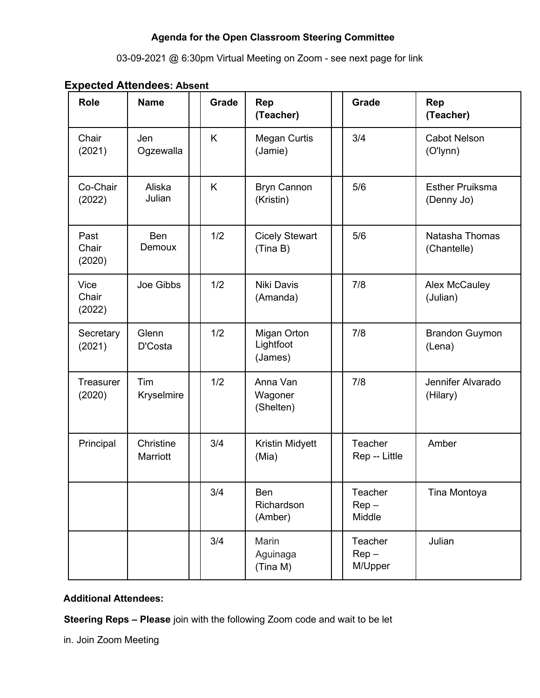# **Agenda for the Open Classroom Steering Committee**

## 03-09-2021 @ 6:30pm Virtual Meeting on Zoom - see next page for link

| <b>Role</b>                | <b>Name</b>           | Grade | <b>Rep</b><br>(Teacher)             | <b>Grade</b>                    | Rep<br>(Teacher)                     |
|----------------------------|-----------------------|-------|-------------------------------------|---------------------------------|--------------------------------------|
| Chair<br>(2021)            | Jen<br>Ogzewalla      | K     | <b>Megan Curtis</b><br>(Jamie)      | 3/4                             | <b>Cabot Nelson</b><br>(O'lynn)      |
| Co-Chair<br>(2022)         | Aliska<br>Julian      | K     | <b>Bryn Cannon</b><br>(Kristin)     | 5/6                             | <b>Esther Pruiksma</b><br>(Denny Jo) |
| Past<br>Chair<br>(2020)    | <b>Ben</b><br>Demoux  | 1/2   | <b>Cicely Stewart</b><br>(Tina B)   | 5/6                             | Natasha Thomas<br>(Chantelle)        |
| Vice<br>Chair<br>(2022)    | Joe Gibbs             | 1/2   | <b>Niki Davis</b><br>(Amanda)       | 7/8                             | <b>Alex McCauley</b><br>(Julian)     |
| Secretary<br>(2021)        | Glenn<br>D'Costa      | 1/2   | Migan Orton<br>Lightfoot<br>(James) | 7/8                             | <b>Brandon Guymon</b><br>(Lena)      |
| <b>Treasurer</b><br>(2020) | Tim<br>Kryselmire     | 1/2   | Anna Van<br>Wagoner<br>(Shelten)    | 7/8                             | Jennifer Alvarado<br>(Hilary)        |
| Principal                  | Christine<br>Marriott | 3/4   | Kristin Midyett<br>(Mia)            | <b>Teacher</b><br>Rep -- Little | Amber                                |
|                            |                       | 3/4   | <b>Ben</b><br>Richardson<br>(Amber) | Teacher<br>$Rep -$<br>Middle    | Tina Montoya                         |
|                            |                       | 3/4   | Marin<br>Aguinaga<br>(Tina M)       | Teacher<br>$Rep -$<br>M/Upper   | Julian                               |

#### **Expected Attendees: Absent**

# **Additional Attendees:**

**Steering Reps – Please** join with the following Zoom code and wait to be let

in. Join Zoom Meeting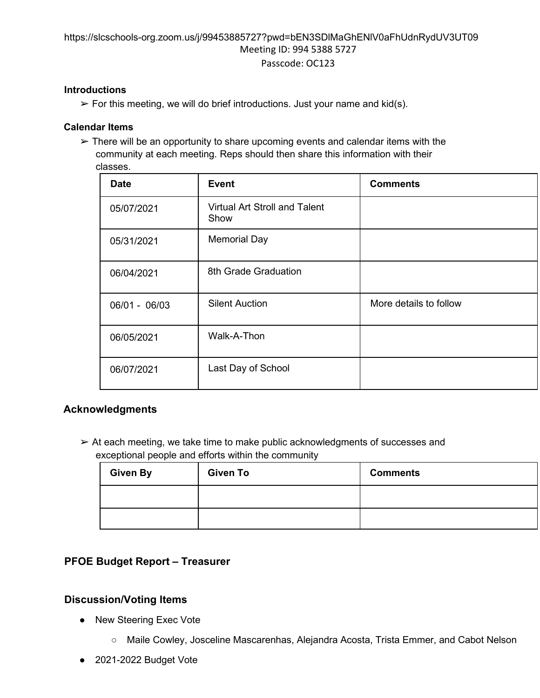#### https://slcschools-org.zoom.us/j/99453885727?pwd=bEN3SDlMaGhENlV0aFhUdnRydUV3UT09 Meeting ID: 994 5388 5727 Passcode: OC123

#### **Introductions**

 $\triangleright$  For this meeting, we will do brief introductions. Just your name and kid(s).

#### **Calendar Items**

 $\triangleright$  There will be an opportunity to share upcoming events and calendar items with the community at each meeting. Reps should then share this information with their classes.

| <b>Date</b>   | <b>Event</b>                                 | <b>Comments</b>        |
|---------------|----------------------------------------------|------------------------|
| 05/07/2021    | <b>Virtual Art Stroll and Talent</b><br>Show |                        |
| 05/31/2021    | <b>Memorial Day</b>                          |                        |
| 06/04/2021    | 8th Grade Graduation                         |                        |
| 06/01 - 06/03 | <b>Silent Auction</b>                        | More details to follow |
| 06/05/2021    | Walk-A-Thon                                  |                        |
| 06/07/2021    | Last Day of School                           |                        |

## **Acknowledgments**

 $\triangleright$  At each meeting, we take time to make public acknowledgments of successes and exceptional people and efforts within the community

| <b>Given By</b> | <b>Given To</b> | <b>Comments</b> |
|-----------------|-----------------|-----------------|
|                 |                 |                 |
|                 |                 |                 |

# **PFOE Budget Report – Treasurer**

# **Discussion/Voting Items**

- New Steering Exec Vote
	- Maile Cowley, Josceline Mascarenhas, Alejandra Acosta, Trista Emmer, and Cabot Nelson
- 2021-2022 Budget Vote